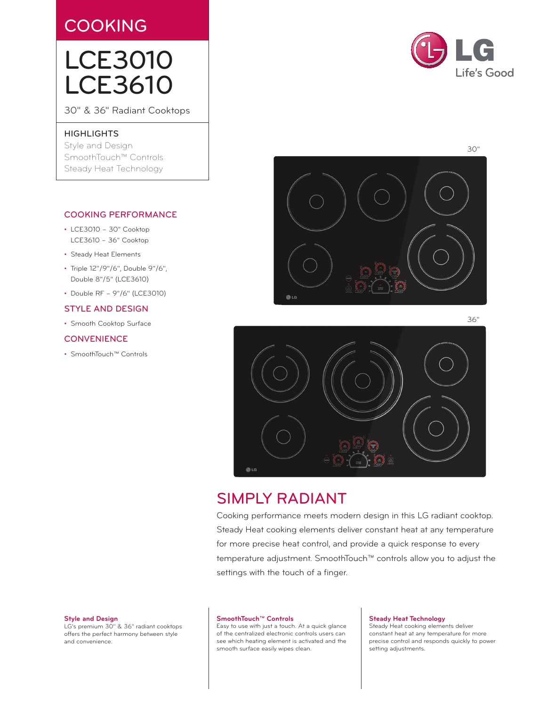# **COOKING**

# LCE3010 LCE3610

30" & 36" Radiant Cooktops

### **HIGHLIGHTS**

Style and Design SmoothTouch™ Controls Steady Heat Technology

## COOKING PERFORMANCE

- LCE3010 30" Cooktop LCE3610 – 36" Cooktop
- • Steady Heat Elements
- Triple 12"/9"/6", Double 9"/6", Double 8"/5" (LCE3610)
- Double RF 9"/6" (LCE3010)

## STYLE AND DESIGN

• Smooth Cooktop Surface

## **CONVENIENCE**

• SmoothTouch™ Controls



 $\bigoplus$  LG

# SIMPLY RADIANT

Cooking performance meets modern design in this LG radiant cooktop. Steady Heat cooking elements deliver constant heat at any temperature for more precise heat control, and provide a quick response to every temperature adjustment. SmoothTouch™ controls allow you to adjust the settings with the touch of a finger.

#### **Style and Design**

LG's premium 30" & 36" radiant cooktops offers the perfect harmony between style and convenience.

#### **SmoothTouch™ Controls**

Easy to use with just a touch. At a quick glance of the centralized electronic controls users can see which heating element is activated and the smooth surface easily wipes clean.

#### **Steady Heat Technology**

Steady Heat cooking elements deliver constant heat at any temperature for more precise control and responds quickly to power setting adjustments.



36"